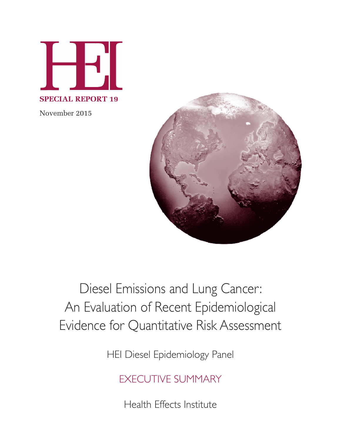

November 2015



# Diesel Emissions and Lung Cancer: An Evaluation of Recent Epidemiological Evidence for Quantitative Risk Assessment

HEI Diesel Epidemiology Panel

EXECUTIVE SUMMARY

Health Effects Institute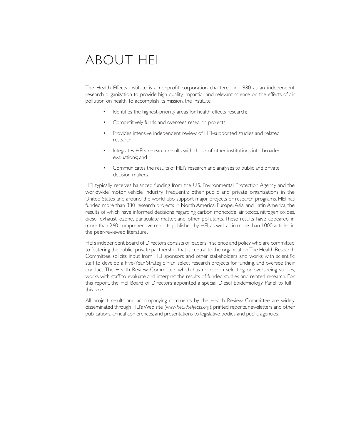# ABOUT HEI

The Health Effects Institute is a nonprofit corporation chartered in 1980 as an independent research organization to provide high-quality, impartial, and relevant science on the effects of air pollution on health. To accomplish its mission, the institute

- Identifies the highest-priority areas for health effects research;
- Competitively funds and oversees research projects;
- Provides intensive independent review of HEI-supported studies and related research;
- Integrates HEI's research results with those of other institutions into broader evaluations; and
- Communicates the results of HEI's research and analyses to public and private decision makers.

HEI typically receives balanced funding from the U.S. Environmental Protection Agency and the worldwide motor vehicle industry. Frequently, other public and private organizations in the United States and around the world also support major projects or research programs. HEI has funded more than 330 research projects in North America, Europe, Asia, and Latin America, the results of which have informed decisions regarding carbon monoxide, air toxics, nitrogen oxides, diesel exhaust, ozone, particulate matter, and other pollutants. These results have appeared in more than 260 comprehensive reports published by HEI, as well as in more than 1000 articles in the peer-reviewed literature.

HEI's independent Board of Directors consists of leaders in science and policy who are committed to fostering the public–private partnership that is central to the organization.The Health Research Committee solicits input from HEI sponsors and other stakeholders and works with scientific staff to develop a Five-Year Strategic Plan, select research projects for funding, and oversee their conduct. The Health Review Committee, which has no role in selecting or overseeing studies, works with staff to evaluate and interpret the results of funded studies and related research. For this report, the HEI Board of Directors appointed a special Diesel Epidemiology Panel to fulfill this role.

All project results and accompanying comments by the Health Review Committee are widely disseminated through HEI'sWeb site (*www.healtheffects.org*), printed reports, newsletters and other publications, annual conferences, and presentations to legislative bodies and public agencies.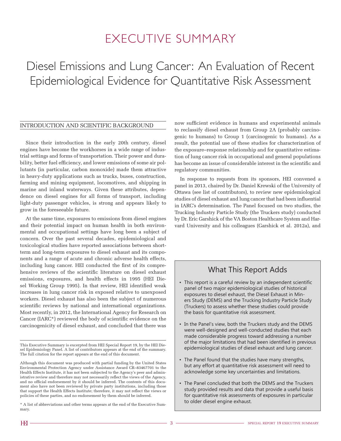# EXECUTIVE SUMMARY

# Diesel Emissions and Lung Cancer: An Evaluation of Recent Epidemiological Evidence for Quantitative Risk Assessment

#### INTRODUCTION AND SCIENTIFIC BACKGROUND

Since their introduction in the early 20th century, diesel engines have become the workhorses in a wide range of industrial settings and forms of transportation. Their power and durability, better fuel efficiency, and lower emissions of some air pollutants (in particular, carbon monoxide) made them attractive in heavy-duty applications such as trucks, buses, construction, farming and mining equipment, locomotives, and shipping in marine and inland waterways. Given these attributes, dependence on diesel engines for all forms of transport, including light-duty passenger vehicles, is strong and appears likely to grow in the foreseeable future.

At the same time, exposures to emissions from diesel engines and their potential impact on human health in both environmental and occupational settings have long been a subject of concern. Over the past several decades, epidemiological and toxicological studies have reported associations between shortterm and long-term exposures to diesel exhaust and its components and a range of acute and chronic adverse health effects, including lung cancer. HEI conducted the first of its comprehensive reviews of the scientific literature on diesel exhaust emissions, exposures, and health effects in 1995 (HEI Diesel Working Group 1995). In that review, HEI identified weak increases in lung cancer risk in exposed relative to unexposed workers. Diesel exhaust has also been the subject of numerous scientific reviews by national and international organizations. Most recently, in 2012, the International Agency for Research on Cancer (IARC\*) reviewed the body of scientific evidence on the carcinogenicity of diesel exhaust, and concluded that there was

\* A list of abbreviations and other terms appears at the end of the Executive Summary.

now sufficient evidence in humans and experimental animals to reclassify diesel exhaust from Group 2A (probably carcinogenic to humans) to Group 1 (carcinogenic to humans). As a result, the potential use of these studies for characterization of the exposure–response relationship and for quantitative estimation of lung cancer risk in occupational and general populations has become an issue of considerable interest in the scientific and regulatory communities.

In response to requests from its sponsors, HEI convened a panel in 2013, chaired by Dr. Daniel Krewski of the University of Ottawa (see list of contributors), to review new epidemiological studies of diesel exhaust and lung cancer that had been influential in IARC's determination. The Panel focused on two studies, the Trucking Industry Particle Study (the Truckers study) conducted by Dr. Eric Garshick of the VA Boston Healthcare System and Harvard University and his colleagues (Garshick et al. 2012a), and

### What This Report Adds

- This report is a careful review by an independent scientific panel of two major epidemiological studies of historical exposures to diesel exhaust, the Diesel Exhaust in Miners Study (DEMS) and the Trucking Industry Particle Study (Truckers) to assess whether these studies could provide the basis for quantitative risk assessment.
- In the Panel's view, both the Truckers study and the DEMS were well-designed and well-conducted studies that each made considerable progress toward addressing a number of the major limitations that had been identified in previous epidemiological studies of diesel exhaust and lung cancer.
- The Panel found that the studies have many strengths, but any effort at quantitative risk assessment will need to acknowledge some key uncertainties and limitations.
- • The Panel concluded that both the DEMS and the Truckers study provided results and data that provide a useful basis for quantitative risk assessments of exposures in particular to older diesel engine exhaust.

This Executive Summary is excerpted from HEI Special Report 19, by the HEI Diesel Epidemiology Panel. A list of contributors appears at the end of the summary. The full citation for the report appears at the end of this document.

Although this document was produced with partial funding by the United States Environmental Protection Agency under Assistance Award CR–83467701 to the Health Effects Institute, it has not been subjected to the Agency's peer and administrative review and therefore may not necessarily reflect the views of the Agency, and no official endorsement by it should be inferred. The contents of this document also have not been reviewed by private party institutions, including those that support the Health Effects Institute; therefore, it may not reflect the views or policies of these parties, and no endorsement by them should be inferred.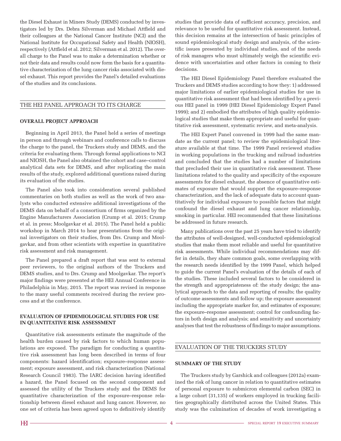the Diesel Exhaust in Miners Study (DEMS) conducted by investigators led by Drs. Debra Silverman and Michael Attfield and their colleagues at the National Cancer Institute (NCI) and the National Institute for Occupational Safety and Health (NIOSH), respectively (Attfield et al. 2012; Silverman et al. 2012). The overall charge to the Panel was to make a determination whether or not their data and results could now form the basis for a quantitative characterization of the lung cancer risks associated with diesel exhaust. This report provides the Panel's detailed evaluations of the studies and its conclusions.

#### THE HEI PANEL APPROACH TO ITS CHARGE

#### **OVERALL PROJECT APPROACH**

Beginning in April 2013, the Panel held a series of meetings in person and through webinars and conference calls to discuss the charge to the panel, the Truckers study and DEMS, and the criteria for evaluating them. Through formal applications to NCI and NIOSH, the Panel also obtained the cohort and case–control analytical data sets for DEMS, and after replicating the main results of the study, explored additional questions raised during its evaluation of the studies.

The Panel also took into consideration several published commentaries on both studies as well as the work of two analysts who conducted extensive additional investigations of the DEMS data on behalf of a consortium of firms organized by the Engine Manufacturers Association (Crump et al. 2015; Crump et al. in press; Moolgavkar et al. 2015). The Panel held a public workshop in March 2014 to hear presentations from the original investigators on their studies, from Drs. Crump and Moolgavkar, and from other scientists with expertise in quantitative risk assessment and risk management.

The Panel prepared a draft report that was sent to external peer reviewers, to the original authors of the Truckers and DEMS studies, and to Drs. Crump and Moolgavkar. The report's major findings were presented at the HEI Annual Conference in Philadelphia in May, 2015. The report was revised in response to the many useful comments received during the review process and at the conference.

#### **EVALUATION OF EPIDEMIOLOGICAL STUDIES FOR USE IN QUANTITATIVE RISK ASSESSMENT**

Quantitative risk assessments estimate the magnitude of the health burden caused by risk factors to which human populations are exposed. The paradigm for conducting a quantitative risk assessment has long been described in terms of four components: hazard identification; exposure–response assessment; exposure assessment, and risk characterization (National Research Council 1983). The IARC decision having identified a hazard, the Panel focused on the second component and assessed the utility of the Truckers study and the DEMS for quantitative characterization of the exposure–response relationship between diesel exhaust and lung cancer. However, no one set of criteria has been agreed upon to definitively identify

studies that provide data of sufficient accuracy, precision, and relevance to be useful for quantitative risk assessment. Instead, this decision remains at the intersection of basic principles of sound epidemiological study design and analysis, of the scientific issues presented by individual studies, and of the needs of risk managers who must ultimately weigh the scientific evidence with uncertainties and other factors in coming to their decisions.

The HEI Diesel Epidemiology Panel therefore evaluated the Truckers and DEMS studies according to how they: 1) addressed major limitations of earlier epidemiological studies for use in quantitative risk assessment that had been identified by a previous HEI panel in 1999 (HEI Diesel Epidemiology Expert Panel 1999); and 2) embodied the attributes of high quality epidemiological studies that make them appropriate and useful for quantitative risk assessment, systematic review, and meta-analysis.

The HEI Expert Panel convened in 1999 had the same mandate as the current panel; to review the epidemiological literature available at that time. The 1999 Panel reviewed studies in working populations in the trucking and railroad industries and concluded that the studies had a number of limitations that precluded their use in quantitative risk assessment. These limitations related to the quality and specificity of the exposure assessments for diesel exhaust, the absence of quantitative estimates of exposure that would support the exposure–response characterization, and the lack of adequate data to account quantitatively for individual exposure to possible factors that might confound the diesel exhaust and lung cancer relationship, smoking in particular. HEI recommended that these limitations be addressed in future research.

Many publications over the past 25 years have tried to identify the attributes of well-designed, well-conducted epidemiological studies that make them most reliable and useful for quantitative risk assessments. While individual recommendations may differ in details, they share common goals, some overlapping with the research needs identified by the 1999 Panel, which helped to guide the current Panel's evaluation of the details of each of the studies. These included several factors to be considered in the strength and appropriateness of: the study design; the analytical approach to the data and reporting of results; the quality of outcome assessments and follow up; the exposure assessment including the appropriate marker for, and estimates of exposure; the exposure–response assessment; control for confounding factors in both design and analysis; and sensitivity and uncertainty analyses that test the robustness of findings to major assumptions.

#### EVALUATION OF THE TRUCKERS STUDY

#### **SUMMARY OF THE STUDY**

The Truckers study by Garshick and colleagues (2012a) examined the risk of lung cancer in relation to quantitative estimates of personal exposure to submicron elemental carbon (SEC) in a large cohort (31,135) of workers employed in trucking facilities geographically distributed across the United States. This study was the culmination of decades of work investigating a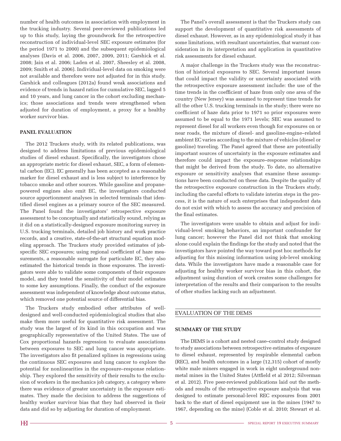number of health outcomes in association with employment in the trucking industry. Several peer-reviewed publications led up to this study, laying the groundwork for the retrospective reconstruction of individual-level SEC exposure estimates (for the period 1971 to 2000) and the subsequent epidemiological analyses (Davis et al. 2006, 2007, 2009, 2011; Garshick et al. 2008; Jain et al. 2006; Laden et al. 2007, Sheesley et al. 2008, 2009; Smith et al. 2006). Individual-level data on smoking were not available and therefore were not adjusted for in this study. Garshick and colleagues (2012a) found weak associations and evidence of trends in hazard ratios for cumulative SEC, lagged 5 and 10 years, and lung cancer in the cohort excluding mechanics; those associations and trends were strengthened when adjusted for duration of employment, a proxy for a healthy worker survivor bias.

#### **PANEL EVALUATION**

The 2012 Truckers study, with its related publications, was designed to address limitations of previous epidemiological studies of diesel exhaust. Specifically, the investigators chose an appropriate metric for diesel exhaust, SEC, a form of elemental carbon (EC). EC generally has been accepted as a reasonable marker for diesel exhaust and is less subject to interference by tobacco smoke and other sources. While gasoline and propanepowered engines also emit EC, the investigators conducted source apportionment analyses in selected terminals that identified diesel engines as a primary source of the SEC measured. The Panel found the investigators' retrospective exposure assessment to be conceptually and statistically sound, relying as it did on a statistically-designed exposure monitoring survey in U.S. trucking terminals, detailed job history and work practice records, and a creative, state-of-the-art structural equation modeling approach. The Truckers study provided estimates of jobspecific SEC exposures; using regional coefficient of haze measurements, a reasonable surrogate for particulate EC, they also estimated the historical trends in those exposures. The investigators were able to validate some components of their exposure model, and they tested the sensitivity of their model estimates to some key assumptions. Finally, the conduct of the exposure assessment was independent of knowledge about outcome status, which removed one potential source of differential bias.

The Truckers study embodied other attributes of welldesigned and well-conducted epidemiological studies that also make them more useful for quantitative risk assessment. The study was the largest of its kind in this occupation and was geographically representative of the United States. The use of Cox proportional hazards regression to evaluate associations between exposures to SEC and lung cancer was appropriate. The investigators also fit penalized splines in regressions using the continuous SEC exposures and lung cancer to explore the potential for nonlinearities in the exposure–response relationship. They explored the sensitivity of their results to the exclusion of workers in the mechanics job category, a category where there was evidence of greater uncertainty in the exposure estimates. They made the decision to address the suggestions of healthy worker survivor bias that they had observed in their data and did so by adjusting for duration of employment.

The Panel's overall assessment is that the Truckers study can support the development of quantitative risk assessments of diesel exhaust. However, as in any epidemiological study it has some limitations, with resultant uncertainties, that warrant consideration in its interpretation and application in quantitative risk assessments for diesel exhaust.

A major challenge in the Truckers study was the reconstruction of historical exposures to SEC. Several important issues that could impact the validity or uncertainty associated with the retrospective exposure assessment include: the use of the time trends in the coefficient of haze from only one area of the country (New Jersey) was assumed to represent time trends for all the other U.S. trucking terminals in the study; there were no coefficient of haze data prior to 1971 so prior exposures were assumed to be equal to the 1971 levels; SEC was assumed to represent diesel for all workers even though for exposures on or near roads, the mixture of diesel- and gasoline-engine–related ambient EC varies according to the mixture of vehicles (diesel or gasoline) traveling. The Panel agreed that these are potentially important sources of uncertainty in the exposure estimates and therefore could impact the exposure–response relationships that might be derived from the study. To date, no alternative exposure or sensitivity analyses that examine these assumptions have been conducted on these data. Despite the quality of the retrospective exposure construction in the Truckers study, including the careful efforts to validate interim steps in the process, it is the nature of such enterprises that independent data do not exist with which to assess the accuracy and precision of the final estimates.

The investigators were unable to obtain and adjust for individual-level smoking behaviors, an important confounder for lung cancer; however the Panel did not think that smoking alone could explain the findings for the study and noted that the investigators have pointed the way toward post hoc methods for adjusting for this missing information using job-level smoking data. While the investigators have made a reasonable case for adjusting for healthy worker survivor bias in this cohort, the adjustment using duration of work creates some challenges for interpretation of the results and their comparison to the results of other studies lacking such an adjustment.

#### EVALUATION OF THE DEMS

#### **SUMMARY OF THE STUDY**

The DEMS is a cohort and nested case–control study designed to study associations between retrospective estimates of exposure to diesel exhaust, represented by respirable elemental carbon (REC), and health outcomes in a large (12,315) cohort of mostly white male miners engaged in work in eight underground nonmetal mines in the United States (Attfield et al 2012; Silverman et al. 2012). Five peer-reviewed publications laid out the methods and results of the retrospective exposure analysis that was designed to estimate personal-level REC exposures from 2001 back to the start of diesel equipment use in the mines (1947 to 1967, depending on the mine) (Coble et al. 2010; Stewart et al.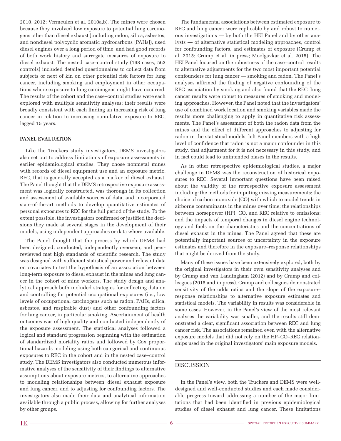2010, 2012; Vermeulen et al. 2010a,b). The mines were chosen because they involved low exposure to potential lung carcinogens other than diesel exhaust (including radon, silica, asbestos, and nondiesel polycyclic aromatic hydrocarbons [PAHs]), used diesel engines over a long period of time, and had good records of both work history and surrogate measures of exposure to diesel exhaust. The nested case–control study (198 cases, 562 controls) included detailed questionnaires to collect data from subjects or next of kin on other potential risk factors for lung cancer, including smoking and employment in other occupations where exposure to lung carcinogens might have occurred. The results of the cohort and the case–control studies were each explored with multiple sensitivity analyses; their results were broadly consistent with each finding an increasing risk of lung cancer in relation to increasing cumulative exposure to REC, lagged 15 years.

#### **PANEL EVALUATION**

Like the Truckers study investigators, DEMS investigators also set out to address limitations of exposure assessments in earlier epidemiological studies. They chose nonmetal mines with records of diesel equipment use and an exposure metric, REC, that is generally accepted as a marker of diesel exhaust. The Panel thought that the DEMS retrospective exposure assessment was logically constructed, was thorough in its collection and assessment of available sources of data, and incorporated state-of-the-art methods to develop quantitative estimates of personal exposures to REC for the full period of the study. To the extent possible, the investigators confirmed or justified the decisions they made at several stages in the development of their models, using independent approaches or data where available.

The Panel thought that the process by which DEMS had been designed, conducted, independently overseen, and peerreviewed met high standards of scientific research. The study was designed with sufficient statistical power and relevant data on covariates to test the hypothesis of an association between long-term exposure to diesel exhaust in the mines and lung cancer in the cohort of mine workers. The study design and analytical approach both included strategies for collecting data on and controlling for potential occupational exposures (i.e., low levels of occupational carcinogens such as radon, PAHs, silica, asbestos, and respirable dust) and other confounding factors for lung cancer, in particular smoking. Ascertainment of health outcomes was of high quality and conducted independently of the exposure assessment. The statistical analyses followed a logical and standard progression beginning with the estimation of standardized mortality ratios and followed by Cox proportional hazards modeling using both categorical and continuous exposures to REC in the cohort and in the nested case–control study. The DEMS investigators also conducted numerous informative analyses of the sensitivity of their findings to alternative assumptions about exposure metrics, to alternative approaches to modeling relationships between diesel exhaust exposure and lung cancer, and to adjusting for confounding factors. The investigators also made their data and analytical information available through a public process, allowing for further analyses by other groups.

The fundamental associations between estimated exposure to REC and lung cancer were replicable by and robust to numerous investigations — by both the HEI Panel and by other analysts — of alternative statistical modeling approaches, control for confounding factors, and estimates of exposure (Crump et al. 2015; Crump et al. in press; Moolgavkar et al. 2015). The HEI Panel focused on the robustness of the case–control results to alternative adjustments for the two most important potential confounders for lung cancer — smoking and radon. The Panel's analyses affirmed the finding of negative confounding of the REC association by smoking and also found that the REC–lung cancer results were robust to measures of smoking and modeling approaches. However, the Panel noted that the investigators' use of combined work location and smoking variables made the results more challenging to apply in quantitative risk assessments. The Panel's assessment of both the radon data from the mines and the effect of different approaches to adjusting for radon in the statistical models, left Panel members with a high level of confidence that radon is not a major confounder in this study, that adjustment for it is not necessary in this study, and in fact could lead to unintended biases in the results.

As in other retrospective epidemiological studies, a major challenge in DEMS was the reconstruction of historical exposures to REC. Several important questions have been raised about the validity of the retrospective exposure assessment including: the methods for imputing missing measurements; the choice of carbon monoxide (CO) with which to model trends in airborne contaminants in the mines over time; the relationships between horsepower (HP), CO, and REC relative to emissions; and the impacts of temporal changes in diesel engine technology and fuels on the characteristics and the concentrations of diesel exhaust in the mines. The Panel agreed that these are potentially important sources of uncertainty in the exposure estimates and therefore in the exposure–response relationships that might be derived from the study.

Many of these issues have been extensively explored, both by the original investigators in their own sensitivity analyses and by Crump and van Landingham (2012) and by Crump and colleagues (2015 and in press). Crump and colleagues demonstrated sensitivity of the odds ratios and the slope of the exposure– response relationships to alternative exposure estimates and statistical models. The variability in results was considerable in some cases. However, in the Panel's view of the most relevant analyses the variability was smaller, and the results still demonstrated a clear, significant association between REC and lung cancer risk. The associations remained even with the alternative exposure models that did not rely on the HP–CO–REC relationships used in the original investigators' main exposure models.

#### DISCUSSION

In the Panel's view, both the Truckers and DEMS were welldesigned and well-conducted studies and each made considerable progress toward addressing a number of the major limitations that had been identified in previous epidemiological studies of diesel exhaust and lung cancer. These limitations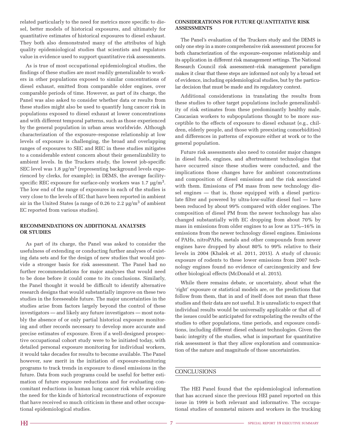related particularly to the need for metrics more specific to diesel, better models of historical exposures, and ultimately for quantitative estimates of historical exposures to diesel exhaust. They both also demonstrated many of the attributes of high quality epidemiological studies that scientists and regulators value in evidence used to support quantitative risk assessments.

As is true of most occupational epidemiological studies, the findings of these studies are most readily generalizable to workers in other populations exposed to similar concentrations of diesel exhaust, emitted from comparable older engines, over comparable periods of time. However, as part of its charge, the Panel was also asked to consider whether data or results from these studies might also be used to quantify lung cancer risk in populations exposed to diesel exhaust at lower concentrations and with different temporal patterns, such as those experienced by the general population in urban areas worldwide. Although characterization of the exposure–response relationship at low levels of exposure is challenging, the broad and overlapping ranges of exposures to SEC and REC in these studies mitigates to a considerable extent concern about their generalizability to ambient levels. In the Truckers study, the lowest job-specific SEC level was  $1.8 \text{ µg/m}^3$  (representing background levels experienced by clerks, for example); in DEMS, the average facilityspecific REC exposure for surface-only workers was  $1.7 \text{ µg/m}^3$ . The low end of the range of exposures in each of the studies is very close to the levels of EC that have been reported in ambient air in the United States (a range of 0.26 to 2.2 µg/m3 of ambient EC reported from various studies).

#### **RECOMMENDATIONS ON ADDITIONAL ANALYSES OR STUDIES**

As part of its charge, the Panel was asked to consider the usefulness of extending or conducting further analyses of existing data sets and for the design of new studies that would provide a stronger basis for risk assessment. The Panel had no further recommendations for major analyses that would need to be done before it could come to its conclusions. Similarly, the Panel thought it would be difficult to identify alternative research designs that would substantially improve on these two studies in the foreseeable future. The major uncertainties in the studies arise from factors largely beyond the control of these investigators — and likely any future investigators — most notably the absence of or only partial historical exposure monitoring and other records necessary to develop more accurate and precise estimates of exposure. Even if a well-designed prospective occupational cohort study were to be initiated today, with detailed personal exposure monitoring for individual workers, it would take decades for results to become available. The Panel however, saw merit in the initiation of exposure-monitoring programs to track trends in exposure to diesel emissions in the future. Data from such programs could be useful for better estimation of future exposure reductions and for evaluating concomitant reductions in human lung cancer risk while avoiding the need for the kinds of historical reconstructions of exposure that have received so much criticism in these and other occupational epidemiological studies.

#### **CONSIDERATIONS FOR FUTURE QUANTITATIVE RISK ASSESSMENTS**

The Panel's evaluation of the Truckers study and the DEMS is only one step in a more comprehensive risk assessment process for both characterization of the exposure–response relationship and its application in different risk management settings. The National Research Council risk assessment–risk management paradigm makes it clear that these steps are informed not only by a broad set of evidence, including epidemiological studies, but by the particular decision that must be made and its regulatory context.

Additional considerations in translating the results from these studies to other target populations include generalizability of risk estimates from these predominantly healthy male, Caucasian workers to subpopulations thought to be more susceptible to the effects of exposure to diesel exhaust (e.g., children, elderly people, and those with preexisting comorbidities) and differences in patterns of exposure either at work or to the general population.

Future risk assessments also need to consider major changes in diesel fuels, engines, and aftertreatment technologies that have occurred since these studies were conducted, and the implications those changes have for ambient concentrations and composition of diesel emissions and the risk associated with them. Emissions of PM mass from new technology diesel engines — that is, those equipped with a diesel particulate filter and powered by ultra-low-sulfur diesel fuel — have been reduced by about 99% compared with older engines. The composition of diesel PM from the newer technology has also changed substantially with EC dropping from about 70% by mass in emissions from older engines to as low as 13%–16% in emissions from the newer technology diesel engines. Emissions of PAHs, nitroPAHs, metals and other compounds from newer engines have dropped by about 80% to 99% relative to their levels in 2004 (Khalek et al. 2011, 2015). A study of chronic exposure of rodents to these lower emissions from 2007 technology engines found no evidence of carcinogenicity and few other biological effects (McDonald et al. 2015).

While there remains debate, or uncertainty, about what the 'right' exposure or statistical models are, or the predictions that follow from them, that in and of itself does not mean that these studies and their data are not useful. It is unrealistic to expect that individual results would be universally applicable or that all of the issues could be anticipated for extrapolating the results of the studies to other populations, time periods, and exposure conditions, including different diesel exhaust technologies. Given the basic integrity of the studies, what is important for quantitative risk assessment is that they allow exploration and communication of the nature and magnitude of those uncertainties.

#### **CONCLUSIONS**

The HEI Panel found that the epidemiological information that has accrued since the previous HEI panel reported on this issue in 1999 is both relevant and informative. The occupational studies of nonmetal miners and workers in the trucking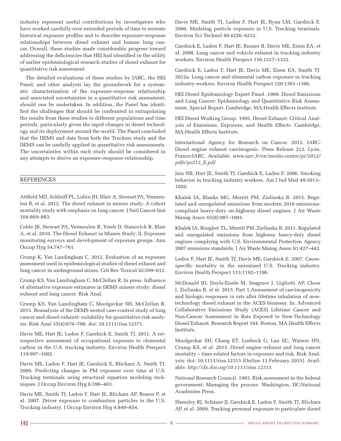industry represent useful contributions by investigators who have worked carefully over extended periods of time to recreate historical exposure profiles and to describe exposure–response relationships between diesel exhaust and human lung cancer. Overall, these studies made considerable progress toward addressing the deficiencies that HEI had identified in the utility of earlier epidemiological research studies of diesel exhaust for quantitative risk assessment.

The detailed evaluations of these studies by IARC, the HEI Panel, and other analysts lay the groundwork for a systematic characterization of the exposure–response relationship and associated uncertainties in a quantitative risk assessment, should one be undertaken. In addition, the Panel has identified the challenges that should be confronted in extrapolating the results from these studies to different populations and time periods, particularly given the rapid changes in diesel technology and its deployment around the world. The Panel concluded that the DEMS and data from both the Truckers study and the DEMS can be usefully applied in quantitative risk assessments. The uncertainties within each study should be considered in any attempts to derive an exposure–response relationship.

#### **REFERENCES**

Attfield MD, Schleiff PL, Lubin JH, Blair A, Stewart PA, Vermeulen R, et al. 2012. The diesel exhaust in miners study: A cohort mortality study with emphasis on lung cancer. J Natl Cancer Inst 104:869–883.

Coble JB, Stewart PA, Vermeulen R, Yereb D, Stanevich R, Blair A, et al. 2010. The Diesel Exhaust in Miners Study: II. Exposure monitoring surveys and development of exposure groups. Ann Occup Hyg 54:747–761.

Crump K, Van Landingham C. 2012. Evaluation of an exposure assessment used in epidemiological studies of diesel exhaust and lung cancer in underground mines. Crit Rev Toxicol 42:599–612.

Crump KS, Van Landingham C, McClellan R. In press. Influence of alternative exposure estimates in DEMS miners study: diesel exhaust and lung cancer. Risk Anal.

Crump KS, Van Landingham C, Moolgavkar SH, McClellan R. 2015. Reanalysis of the DEMS nested case-control study of lung cancer and diesel exhaust: suitability for quantitative risk analysis. Risk Anal 35(4):676–700. doi: 10.1111/risa.12371.

Davis ME, Hart JE, Laden F, Garshick E, Smith TJ. 2011. A retrospective assessment of occupational exposure to elemental carbon in the U.S. trucking industry. Environ Health Perspect 119:997–1002.

Davis ME, Laden F, Hart JE, Garshick E, Blicharz A, Smith TJ. 2009. Predicting changes in PM exposure over time at U.S. Trucking terminals using structural equation modeling techniques. J Occup Environ Hyg 6:396–403.

Davis ME, Smith TJ, Laden F, Hart JE, Blicharz AP, Reaser P, et al. 2007. Driver exposure to combustion particles in the U.S. Trucking industry. J Occup Environ Hyg 4:848–854.

Davis ME, Smith TJ, Laden F, Hart JE, Ryan LM, Garshick E. 2006. Modeling particle exposure in U.S. Trucking terminals. Environ Sci Technol 40:4226–4232.

Garshick E, Laden F, Hart JE, Rosner B, Davis ME, Eisen EA, et al. 2008. Lung cancer and vehicle exhaust in trucking industry workers. Environ Health Perspect 116:1327–1332.

Garshick E, Laden F, Hart JE, Davis ME, Eisen EA, Smith TJ. 2012a. Lung cancer and elemental carbon exposure in trucking industry workers. Environ Health Perspect 120:1301–1306.

HEI Diesel Epidemiology Expert Panel. 1999. Diesel Emissions and Lung Cancer: Epidemiology and Quantitative Risk Assessment. Special Report. Cambridge, MA:Health Effects Institute.

HEI Diesel Working Group. 1995. Diesel Exhaust: Critical Analysis of Emissions, Exposure, and Health Effects. Cambridge, MA:Health Effects Institute.

International Agency for Research on Cancer. 2012. IARC: Diesel engine exhaust carcinogenic. Press Release 213. Lyon, France:IARC. Available: *www.iarc.fr/en/media-centre/pr/2012/ pdfs/pr213\_E.pdf*.

Jain NB, Hart JE, Smith TJ, Garshick E, Laden F. 2006. Smoking behavior in trucking industry workers. Am J Ind Med 49:1013– 1020.

Khalek IA, Blanks MG, Merritt PM, Zielinska B. 2015. Regulated and unregulated emissions from modern 2010 emissionscompliant heavy-duty on-highway diesel engines. J Air Waste Manag Assoc 65(8):987–1001.

Khalek IA, Bougher TL, Merritt PM, Zielinska B. 2011. Regulated and unregulated emissions from highway heavy-duty diesel engines complying with U.S. Environmental Protection Agency 2007 emissions standards. J Air Waste Manag Assoc 61:427–442.

Laden F, Hart JE, Smith TJ, Davis ME, Garshick E. 2007. Causespecific mortality in the unionized U.S. Trucking industry. Environ Health Perspect 115:1192–1196.

McDonald JD, Doyle-Eisele M, Seagrave J, Gigliotti AP, Chow J, Zielinska B, et al. 2015. Part 1.Assessment of carcinogenicity and biologic responses in rats after lifetime inhalation of newtechnology diesel exhaust in the ACES bioassay. In: Advanced Collaborative Emissions Study (ACES) Lifetime Cancer and Non-Cancer Assessment in Rats Exposed to New-Technology Diesel Exhaust. Research Report 184. Boston, MA:Health Effects Institute.

Moolgavkar SH, Chang ET, Luebeck G, Lau EC, Watson HN, Crump KS, et al. 2015. Diesel engine exhaust and lung cancer mortality – time-related factors in exposure and risk. Risk Analysis: doi: 10.1111/risa.12315 [Online 13 February 2015]. Available: *http://dx.doi.org/10.1111/risa.12315*.

National Research Council. 1983. Risk assessment in the federal government: Managing the process. Washington, DC:National Academies Press.

Sheesley RJ, Schauer JJ, Garshick E, Laden F, Smith TJ, Blicharz AP, et al. 2009. Tracking personal exposure to particulate diesel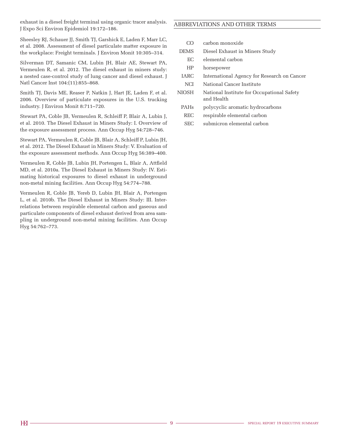exhaust in a diesel freight terminal using organic tracer analysis. J Expo Sci Environ Epidemiol 19:172–186.

Sheesley RJ, Schauer JJ, Smith TJ, Garshick E, Laden F, Marr LC, et al. 2008. Assessment of diesel particulate matter exposure in the workplace: Freight terminals. J Environ Monit 10:305–314.

Silverman DT, Samanic CM, Lubin JH, Blair AE, Stewart PA, Vermeulen R, et al. 2012. The diesel exhaust in miners study: a nested case-control study of lung cancer and diesel exhaust. J Natl Cancer Inst 104:(11):855–868.

Smith TJ, Davis ME, Reaser P, Natkin J, Hart JE, Laden F, et al. 2006. Overview of particulate exposures in the U.S. trucking industry. J Environ Monit 8:711–720.

Stewart PA, Coble JB, Vermeulen R, Schleiff P, Blair A, Lubin J, et al. 2010. The Diesel Exhaust in Miners Study: I. Overview of the exposure assessment process. Ann Occup Hyg 54:728–746.

Stewart PA, Vermeulen R, Coble JB, Blair A, Schleiff P, Lubin JH, et al. 2012. The Diesel Exhaust in Miners Study: V. Evaluation of the exposure assessment methods. Ann Occup Hyg 56:389–400.

Vermeulen R, Coble JB, Lubin JH, Portengen L, Blair A, Attfield MD, et al. 2010a. The Diesel Exhaust in Miners Study: IV. Estimating historical exposures to diesel exhaust in underground non-metal mining facilities. Ann Occup Hyg 54:774–788.

Vermeulen R, Coble JB, Yereb D, Lubin JH, Blair A, Portengen L, et al. 2010b. The Diesel Exhaust in Miners Study: III. Interrelations between respirable elemental carbon and gaseous and particulate components of diesel exhaust derived from area sampling in underground non-metal mining facilities. Ann Occup Hyg 54:762–773.

### ABBREVIATIONS AND OTHER TERMS

- CO carbon monoxide
- DEMS Diesel Exhaust in Miners Study
	- EC elemental carbon
	- HP horsepower
- IARC International Agency for Research on Cancer
- NCI National Cancer Institute
- NIOSH National Institute for Occupational Safety and Health
	- PAHs polycyclic aromatic hydrocarbons
	- REC respirable elemental carbon
	- SEC submicron elemental carbon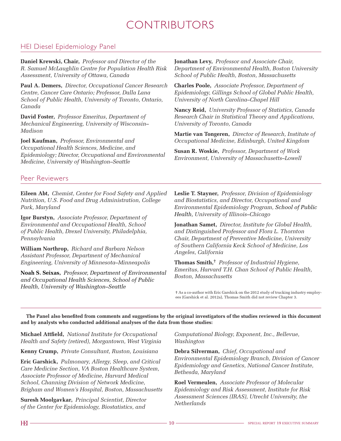# CONTRIBUTORS

## HEI Diesel Epidemiology Panel

**Daniel Krewski, Chair,** *Professor and Director of the R. Samuel McLaughlin Centre for Population Health Risk Assessment, University of Ottawa, Canada*

**Paul A. Demers,** *Director, Occupational Cancer Research Centre, Cancer Care Ontario; Professor, Dalla Lana School of Public Health, University of Toronto, Ontario, Canada*

**David Foster,** *Professor Emeritus, Department of Mechanical Engineering, University of Wisconsin– Madison*

**Joel Kaufman,** *Professor, Environmental and Occupational Health Sciences, Medicine, and Epidemiology; Director, Occupational and Environmental Medicine, University of Washington–Seattle*

**Jonathan Levy,** *Professor and Associate Chair, Department of Environmental Health, Boston University School of Public Health, Boston, Massachusetts*

**Charles Poole,** *Associate Professor, Department of Epidemiology, Gillings School of Global Public Health, University of North Carolina–Chapel Hill*

**Nancy Reid,** *University Professor of Statistics, Canada Research Chair in Statistical Theory and Applications, University of Toronto, Canada*

**Martie van Tongeren,** *Director of Research, Institute of Occupational Medicine, Edinburgh, United Kingdom*

**Susan R. Woskie,** *Professor, Department of Work Environment, University of Massachusetts–Lowell*

### Peer Reviewers

**Eileen Abt,** *Chemist, Center for Food Safety and Applied Nutrition, U.S. Food and Drug Administration, College Park, Maryland* 

**Igor Burstyn,** *Associate Professor, Department of Environmental and Occupational Health, School of Public Health, Drexel University, Philadelphia, Pennsylvania*

**William Northrop,** *Richard and Barbara Nelson Assistant Professor, Department of Mechanical Engineering, University of Minnesota–Minneapolis*

**Noah S. Seixas,** *Professor, Department of Environmental and Occupational Health Sciences, School of Public Health, University of Washington–Seattle*

**Leslie T. Stayner,** *Professor, Division of Epidemiology and Biostatistics, and Director, Occupational and Environmental Epidemiology Program, School of Public Health, University of Illinois–Chicago*

**Jonathan Samet,** *Director, Institute for Global Health, and Distinguished Professor and Flora L. Thornton Chair, Department of Preventive Medicine, University of Southern California Keck School of Medicine, Los Angeles, California* 

**Thomas Smith,**† *Professor of Industrial Hygiene, Emeritus, Harvard T.H. Chan School of Public Health, Boston, Massachusetts*

† As a co-author with Eric Garshick on the 2012 study of trucking industry employees (Garshick et al. 2012a), Thomas Smith did not review Chapter 3.

**The Panel also benefited from comments and suggestions by the original investigators of the studies reviewed in this document and by analysts who conducted additional analyses of the data from those studies:**

**Michael Attfield,** *National Institute for Occupational Health and Safety (retired), Morgantown, West Virginia*

**Kenny Crump,** *Private Consultant, Ruston, Louisiana*

**Eric Garshick,** *Pulmonary, Allergy, Sleep, and Critical Care Medicine Section, VA Boston Healthcare System, Associate Professor of Medicine, Harvard Medical School, Channing Division of Network Medicine, Brigham and Women's Hospital, Boston, Massachusetts*

**Suresh Moolgavkar,** *Principal Scientist, Director of the Center for Epidemiology, Biostatistics, and* 

*Computational Biology, Exponent, Inc., Bellevue, Washington*

**Debra Silverman,** *Chief, Occupational and Environmental Epidemiology Branch, Division of Cancer Epidemiology and Genetics, National Cancer Institute, Bethesda, Maryland*

**Roel Vermeulen,** *Associate Professor of Molecular Epidemiology and Risk Assessment, Institute for Risk Assessment Sciences (IRAS), Utrecht University, the Netherlands*